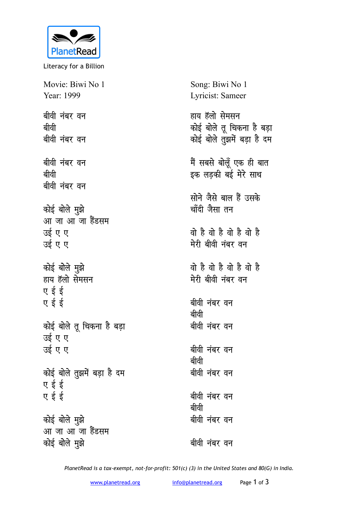

Literacy for a Billion

Movie: Biwi No 1 Year: 1999 Song: Biwi No 1 Lyricist: Sameer **बीवी नंबर वन choh** बीवी नंबर वन बीवी नंबर वन **choh** बीवी नंबर वन *कोई बोले मुझे* आ जा आ जा हैंडसम उई ए ए उई ए ए कोई बोले मुझे हाय हॅलो सेमसन **ए** ई ई  $\sigma$  <del>t</del> and the pair <u>कोई बोले तू</u> चिकना है बड़ा उई ए ए उई ए ए <u>कोई बोले तुझमें बड़ा है दम</u> **ए** ई ई **ए** ई ई कोई बोले मुझे <u>आ जा आ जा हैंडसम</u> *कोई बोले मुझे* हाय हॅलो सेमसन <u>कोई बोले तू</u> चिकना है बड़ा <u>कोई बोले तु</u>झमें बड़ा है दम मैं सबसे बोलूँ एक ही बात इक लड़की बई मेरे साथ <u>सोने जैसे बाल हैं उसके</u> <u>चाँदी जैसा तन</u> <u>वो है वो है वो है</u> मेरी बीवी नंबर वन **oks gS oks gS oks gS oks gS मेरी बीवी नंबर वन** बीवी नंबर वन **choh** बीवी नंबर वन बीवी नंबर **व**न **choh** बीवी नंबर वन बीवी नंबर वन **choh बीवी नंबर वन** बीवी **नंबर** वन

*PlanetRead is a tax-exempt, not-for-profit: 501(c) (3) in the United States and 80(G) in India.*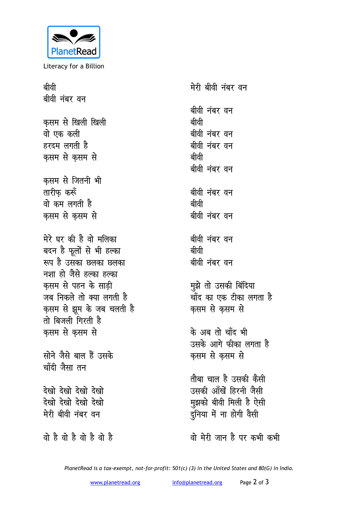

Literacy for a Billion

बीवी मेरी बीवी नंबर वन बीवी नंबर वन बीवी नंबर वन कसम से खिली खिली बीवी वो एक कली बीवी नंबर वन हरदम लगती है बीवी नंबर वन कसम से कसम से बीवी बीवी नंबर वन कसम से जितनी भी तारीफ करूँ बीवी नंबर वन वो कम लगती है बीवी कसम से कसम से बीवी नंबर वन मेरे घर की है वो मलिका बीवी नंबर वन बदन है फूलों से भी हल्का बीवी रूप है उसका छलका छलका बीवी नंबर वन नशा हो जैसे हल्का हल्का कसम से पहन के साडी मुझे तो उसकी बिंदिया चाँद का एक टीका लगता है जब निकले तो क्या लगती है कृसम से झूम के जब चलती है कसम से कसम से तो बिजली गिरती है के अब तो चाँद भी कसम से कसम से उसके आगे फीका लगता है सोने जैसे बाल हैं उसके कसम से कसम से चाँदी जैसा तन तौबा चाल है उसकी कैसी उसकी आँखें हिरनी जैसी देखो देखो देखो देखो मुझको बीवी मिली है ऐसी देखो देखो देखो देखो दुनिया में ना होगी वैसी मेरी बीवी नंबर वन वो है वो है वो है वो है वो मेरी जान है पर कभी कभी

PlanetRead is a tax-exempt, not-for-profit: 501(c) (3) in the United States and 80(G) in India.